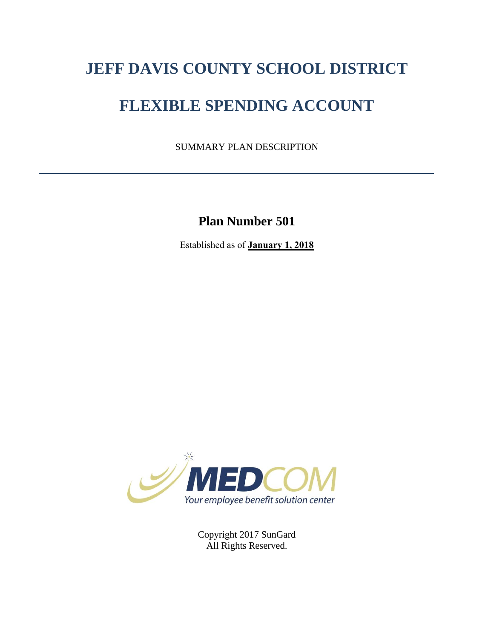# **JEFF DAVIS COUNTY SCHOOL DISTRICT**

# **FLEXIBLE SPENDING ACCOUNT**

SUMMARY PLAN DESCRIPTION

**Plan Number 501**

Established as of **January 1, 2018**



Copyright 2017 SunGard All Rights Reserved.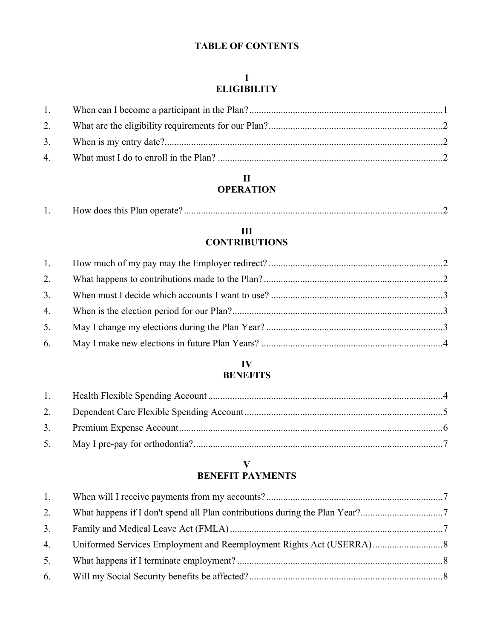# **TABLE OF CONTENTS**

# **I ELIGIBILITY**

| 1.1 |  |
|-----|--|
|     |  |
|     |  |
|     |  |

# **II OPERATION**

| . . | How does this Plan operate? |  |
|-----|-----------------------------|--|
|     |                             |  |

# **III CONTRIBUTIONS**

| 1. |  |
|----|--|
|    |  |
| 3. |  |
|    |  |
| 5. |  |
|    |  |

# **IV BENEFITS**

# **V BENEFIT PAYMENTS**

| 1. |  |
|----|--|
| 2. |  |
| 3. |  |
| 4. |  |
| 5. |  |
| 6. |  |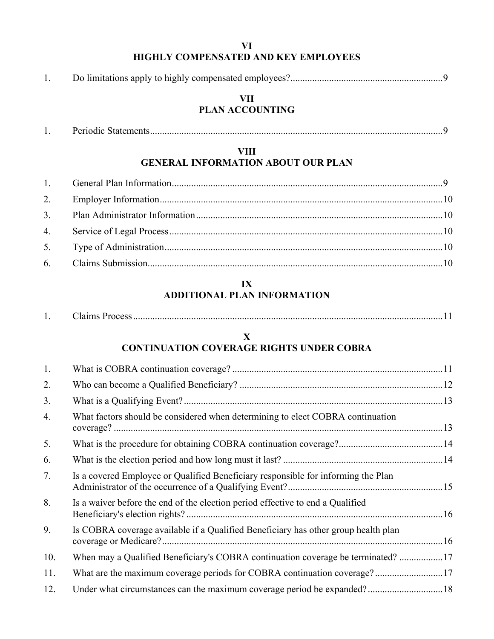# **VI HIGHLY COMPENSATED AND KEY EMPLOYEES**

|--|--|--|

## **VII PLAN ACCOUNTING**

| . . | эак<br>-NAIU<br>非比 |  |
|-----|--------------------|--|
|-----|--------------------|--|

## **VIII GENERAL INFORMATION ABOUT OUR PLAN**

# **IX ADDITIONAL PLAN INFORMATION**

| . . | alins P<br>$-100$ Co $\ldots$ |  |
|-----|-------------------------------|--|
|     |                               |  |

# **X CONTINUATION COVERAGE RIGHTS UNDER COBRA**

| 1.  |                                                                                    |  |
|-----|------------------------------------------------------------------------------------|--|
| 2.  |                                                                                    |  |
| 3.  |                                                                                    |  |
| 4.  | What factors should be considered when determining to elect COBRA continuation     |  |
| 5.  |                                                                                    |  |
| 6.  |                                                                                    |  |
| 7.  | Is a covered Employee or Qualified Beneficiary responsible for informing the Plan  |  |
| 8.  | Is a waiver before the end of the election period effective to end a Qualified     |  |
| 9.  | Is COBRA coverage available if a Qualified Beneficiary has other group health plan |  |
| 10. | When may a Qualified Beneficiary's COBRA continuation coverage be terminated? 17   |  |
| 11. | What are the maximum coverage periods for COBRA continuation coverage?17           |  |
| 12. |                                                                                    |  |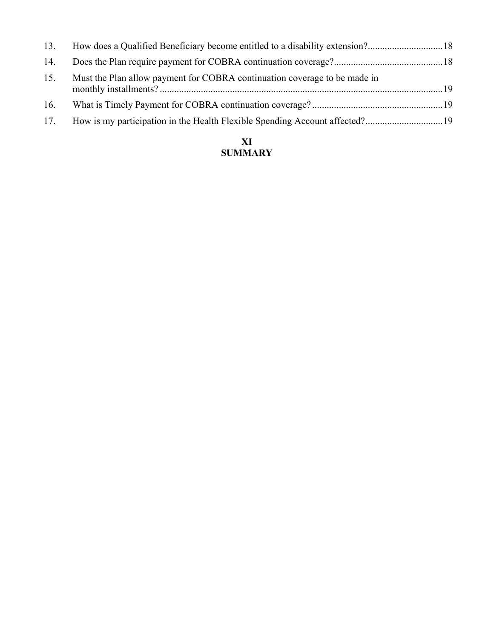| 13. |                                                                           |  |
|-----|---------------------------------------------------------------------------|--|
| 14. |                                                                           |  |
| 15. | Must the Plan allow payment for COBRA continuation coverage to be made in |  |
| 16. |                                                                           |  |
| 17. |                                                                           |  |

# **XI SUMMARY**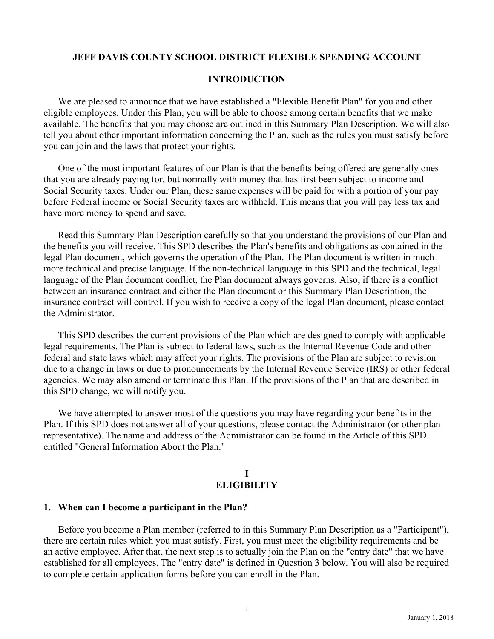## **JEFF DAVIS COUNTY SCHOOL DISTRICT FLEXIBLE SPENDING ACCOUNT**

#### **INTRODUCTION**

We are pleased to announce that we have established a "Flexible Benefit Plan" for you and other eligible employees. Under this Plan, you will be able to choose among certain benefits that we make available. The benefits that you may choose are outlined in this Summary Plan Description. We will also tell you about other important information concerning the Plan, such as the rules you must satisfy before you can join and the laws that protect your rights.

One of the most important features of our Plan is that the benefits being offered are generally ones that you are already paying for, but normally with money that has first been subject to income and Social Security taxes. Under our Plan, these same expenses will be paid for with a portion of your pay before Federal income or Social Security taxes are withheld. This means that you will pay less tax and have more money to spend and save.

Read this Summary Plan Description carefully so that you understand the provisions of our Plan and the benefits you will receive. This SPD describes the Plan's benefits and obligations as contained in the legal Plan document, which governs the operation of the Plan. The Plan document is written in much more technical and precise language. If the non-technical language in this SPD and the technical, legal language of the Plan document conflict, the Plan document always governs. Also, if there is a conflict between an insurance contract and either the Plan document or this Summary Plan Description, the insurance contract will control. If you wish to receive a copy of the legal Plan document, please contact the Administrator.

This SPD describes the current provisions of the Plan which are designed to comply with applicable legal requirements. The Plan is subject to federal laws, such as the Internal Revenue Code and other federal and state laws which may affect your rights. The provisions of the Plan are subject to revision due to a change in laws or due to pronouncements by the Internal Revenue Service (IRS) or other federal agencies. We may also amend or terminate this Plan. If the provisions of the Plan that are described in this SPD change, we will notify you.

We have attempted to answer most of the questions you may have regarding your benefits in the Plan. If this SPD does not answer all of your questions, please contact the Administrator (or other plan representative). The name and address of the Administrator can be found in the Article of this SPD entitled "General Information About the Plan."

#### **I ELIGIBILITY**

#### **1. When can I become a participant in the Plan?**

Before you become a Plan member (referred to in this Summary Plan Description as a "Participant"), there are certain rules which you must satisfy. First, you must meet the eligibility requirements and be an active employee. After that, the next step is to actually join the Plan on the "entry date" that we have established for all employees. The "entry date" is defined in Question 3 below. You will also be required to complete certain application forms before you can enroll in the Plan.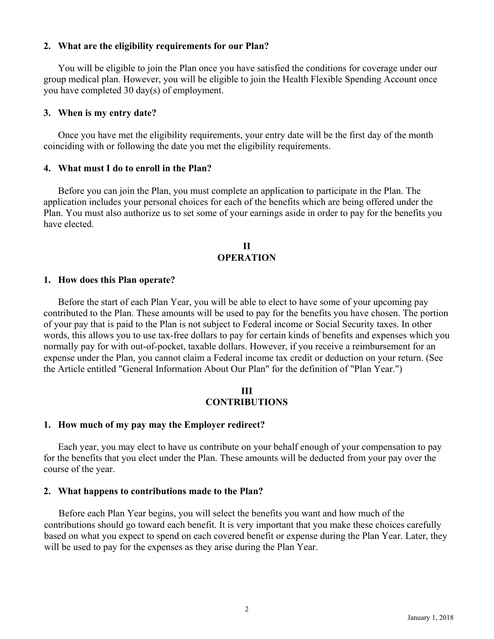## **2. What are the eligibility requirements for our Plan?**

You will be eligible to join the Plan once you have satisfied the conditions for coverage under our group medical plan. However, you will be eligible to join the Health Flexible Spending Account once you have completed 30 day(s) of employment.

#### **3. When is my entry date?**

Once you have met the eligibility requirements, your entry date will be the first day of the month coinciding with or following the date you met the eligibility requirements.

#### **4. What must I do to enroll in the Plan?**

Before you can join the Plan, you must complete an application to participate in the Plan. The application includes your personal choices for each of the benefits which are being offered under the Plan. You must also authorize us to set some of your earnings aside in order to pay for the benefits you have elected.

#### **II OPERATION**

#### **1. How does this Plan operate?**

Before the start of each Plan Year, you will be able to elect to have some of your upcoming pay contributed to the Plan. These amounts will be used to pay for the benefits you have chosen. The portion of your pay that is paid to the Plan is not subject to Federal income or Social Security taxes. In other words, this allows you to use tax-free dollars to pay for certain kinds of benefits and expenses which you normally pay for with out-of-pocket, taxable dollars. However, if you receive a reimbursement for an expense under the Plan, you cannot claim a Federal income tax credit or deduction on your return. (See the Article entitled "General Information About Our Plan" for the definition of "Plan Year.")

#### **III CONTRIBUTIONS**

## **1. How much of my pay may the Employer redirect?**

Each year, you may elect to have us contribute on your behalf enough of your compensation to pay for the benefits that you elect under the Plan. These amounts will be deducted from your pay over the course of the year.

#### **2. What happens to contributions made to the Plan?**

Before each Plan Year begins, you will select the benefits you want and how much of the contributions should go toward each benefit. It is very important that you make these choices carefully based on what you expect to spend on each covered benefit or expense during the Plan Year. Later, they will be used to pay for the expenses as they arise during the Plan Year.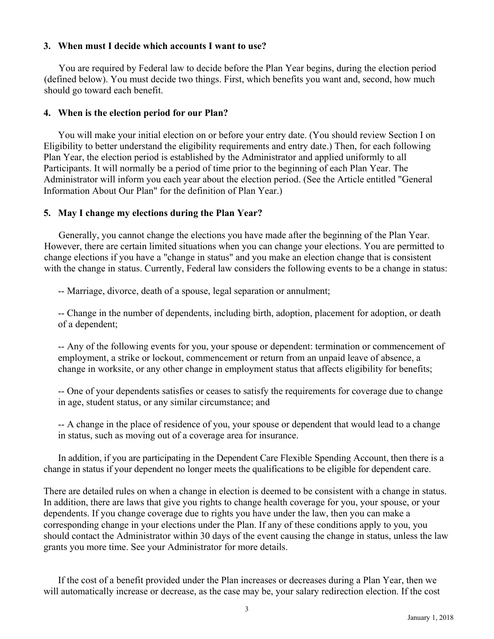## **3. When must I decide which accounts I want to use?**

You are required by Federal law to decide before the Plan Year begins, during the election period (defined below). You must decide two things. First, which benefits you want and, second, how much should go toward each benefit.

#### **4. When is the election period for our Plan?**

You will make your initial election on or before your entry date. (You should review Section I on Eligibility to better understand the eligibility requirements and entry date.) Then, for each following Plan Year, the election period is established by the Administrator and applied uniformly to all Participants. It will normally be a period of time prior to the beginning of each Plan Year. The Administrator will inform you each year about the election period. (See the Article entitled "General Information About Our Plan" for the definition of Plan Year.)

#### **5. May I change my elections during the Plan Year?**

Generally, you cannot change the elections you have made after the beginning of the Plan Year. However, there are certain limited situations when you can change your elections. You are permitted to change elections if you have a "change in status" and you make an election change that is consistent with the change in status. Currently, Federal law considers the following events to be a change in status:

-- Marriage, divorce, death of a spouse, legal separation or annulment;

-- Change in the number of dependents, including birth, adoption, placement for adoption, or death of a dependent;

-- Any of the following events for you, your spouse or dependent: termination or commencement of employment, a strike or lockout, commencement or return from an unpaid leave of absence, a change in worksite, or any other change in employment status that affects eligibility for benefits;

-- One of your dependents satisfies or ceases to satisfy the requirements for coverage due to change in age, student status, or any similar circumstance; and

-- A change in the place of residence of you, your spouse or dependent that would lead to a change in status, such as moving out of a coverage area for insurance.

In addition, if you are participating in the Dependent Care Flexible Spending Account, then there is a change in status if your dependent no longer meets the qualifications to be eligible for dependent care.

There are detailed rules on when a change in election is deemed to be consistent with a change in status. In addition, there are laws that give you rights to change health coverage for you, your spouse, or your dependents. If you change coverage due to rights you have under the law, then you can make a corresponding change in your elections under the Plan. If any of these conditions apply to you, you should contact the Administrator within 30 days of the event causing the change in status, unless the law grants you more time. See your Administrator for more details.

If the cost of a benefit provided under the Plan increases or decreases during a Plan Year, then we will automatically increase or decrease, as the case may be, your salary redirection election. If the cost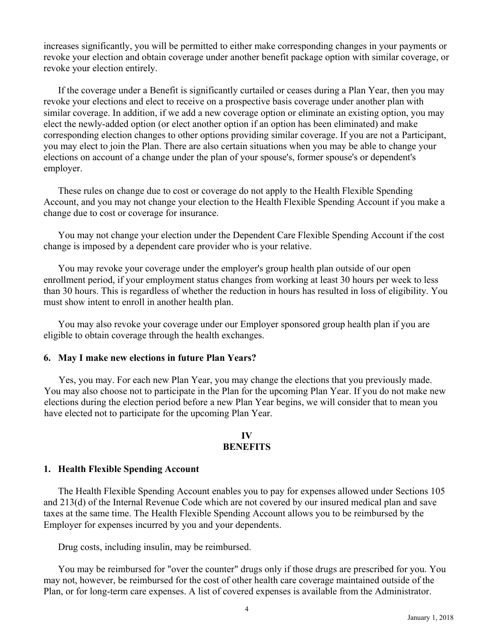increases significantly, you will be permitted to either make corresponding changes in your payments or revoke your election and obtain coverage under another benefit package option with similar coverage, or revoke your election entirely.

If the coverage under a Benefit is significantly curtailed or ceases during a Plan Year, then you may revoke your elections and elect to receive on a prospective basis coverage under another plan with similar coverage. In addition, if we add a new coverage option or eliminate an existing option, you may elect the newly-added option (or elect another option if an option has been eliminated) and make corresponding election changes to other options providing similar coverage. If you are not a Participant, you may elect to join the Plan. There are also certain situations when you may be able to change your elections on account of a change under the plan of your spouse's, former spouse's or dependent's employer.

These rules on change due to cost or coverage do not apply to the Health Flexible Spending Account, and you may not change your election to the Health Flexible Spending Account if you make a change due to cost or coverage for insurance.

You may not change your election under the Dependent Care Flexible Spending Account if the cost change is imposed by a dependent care provider who is your relative.

You may revoke your coverage under the employer's group health plan outside of our open enrollment period, if your employment status changes from working at least 30 hours per week to less than 30 hours. This is regardless of whether the reduction in hours has resulted in loss of eligibility. You must show intent to enroll in another health plan.

You may also revoke your coverage under our Employer sponsored group health plan if you are eligible to obtain coverage through the health exchanges.

## **6. May I make new elections in future Plan Years?**

Yes, you may. For each new Plan Year, you may change the elections that you previously made. You may also choose not to participate in the Plan for the upcoming Plan Year. If you do not make new elections during the election period before a new Plan Year begins, we will consider that to mean you have elected not to participate for the upcoming Plan Year.

#### **IV BENEFITS**

#### **1. Health Flexible Spending Account**

The Health Flexible Spending Account enables you to pay for expenses allowed under Sections 105 and 213(d) of the Internal Revenue Code which are not covered by our insured medical plan and save taxes at the same time. The Health Flexible Spending Account allows you to be reimbursed by the Employer for expenses incurred by you and your dependents.

Drug costs, including insulin, may be reimbursed.

You may be reimbursed for "over the counter" drugs only if those drugs are prescribed for you. You may not, however, be reimbursed for the cost of other health care coverage maintained outside of the Plan, or for long-term care expenses. A list of covered expenses is available from the Administrator.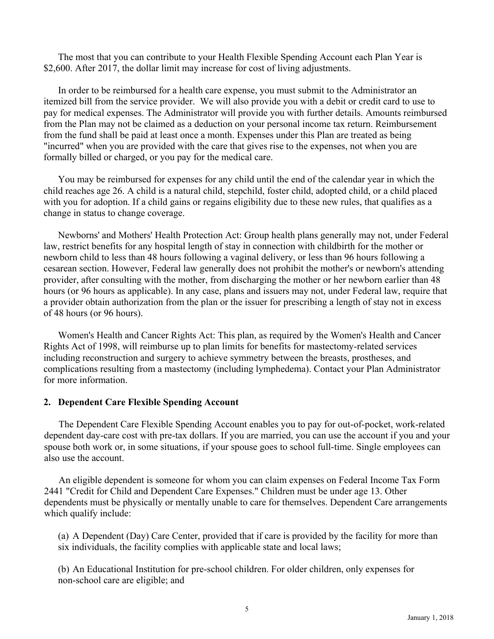The most that you can contribute to your Health Flexible Spending Account each Plan Year is \$2,600. After 2017, the dollar limit may increase for cost of living adjustments.

In order to be reimbursed for a health care expense, you must submit to the Administrator an itemized bill from the service provider. We will also provide you with a debit or credit card to use to pay for medical expenses. The Administrator will provide you with further details. Amounts reimbursed from the Plan may not be claimed as a deduction on your personal income tax return. Reimbursement from the fund shall be paid at least once a month. Expenses under this Plan are treated as being "incurred" when you are provided with the care that gives rise to the expenses, not when you are formally billed or charged, or you pay for the medical care.

You may be reimbursed for expenses for any child until the end of the calendar year in which the child reaches age 26. A child is a natural child, stepchild, foster child, adopted child, or a child placed with you for adoption. If a child gains or regains eligibility due to these new rules, that qualifies as a change in status to change coverage.

Newborns' and Mothers' Health Protection Act: Group health plans generally may not, under Federal law, restrict benefits for any hospital length of stay in connection with childbirth for the mother or newborn child to less than 48 hours following a vaginal delivery, or less than 96 hours following a cesarean section. However, Federal law generally does not prohibit the mother's or newborn's attending provider, after consulting with the mother, from discharging the mother or her newborn earlier than 48 hours (or 96 hours as applicable). In any case, plans and issuers may not, under Federal law, require that a provider obtain authorization from the plan or the issuer for prescribing a length of stay not in excess of 48 hours (or 96 hours).

Women's Health and Cancer Rights Act: This plan, as required by the Women's Health and Cancer Rights Act of 1998, will reimburse up to plan limits for benefits for mastectomy-related services including reconstruction and surgery to achieve symmetry between the breasts, prostheses, and complications resulting from a mastectomy (including lymphedema). Contact your Plan Administrator for more information.

#### **2. Dependent Care Flexible Spending Account**

The Dependent Care Flexible Spending Account enables you to pay for out-of-pocket, work-related dependent day-care cost with pre-tax dollars. If you are married, you can use the account if you and your spouse both work or, in some situations, if your spouse goes to school full-time. Single employees can also use the account.

An eligible dependent is someone for whom you can claim expenses on Federal Income Tax Form 2441 "Credit for Child and Dependent Care Expenses." Children must be under age 13. Other dependents must be physically or mentally unable to care for themselves. Dependent Care arrangements which qualify include:

(a) A Dependent (Day) Care Center, provided that if care is provided by the facility for more than six individuals, the facility complies with applicable state and local laws;

(b) An Educational Institution for pre-school children. For older children, only expenses for non-school care are eligible; and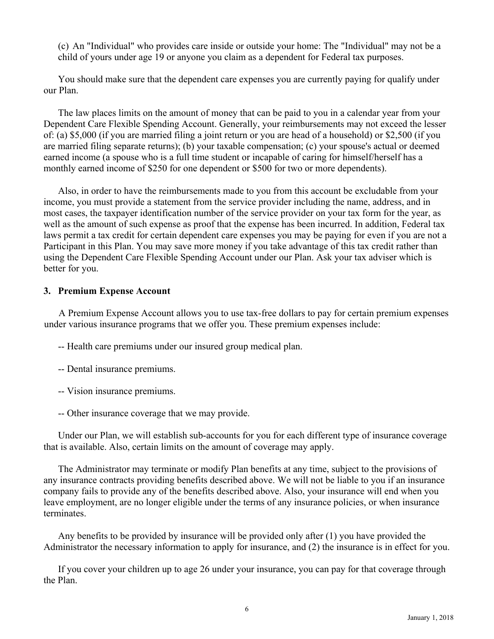(c) An "Individual" who provides care inside or outside your home: The "Individual" may not be a child of yours under age 19 or anyone you claim as a dependent for Federal tax purposes.

You should make sure that the dependent care expenses you are currently paying for qualify under our Plan.

The law places limits on the amount of money that can be paid to you in a calendar year from your Dependent Care Flexible Spending Account. Generally, your reimbursements may not exceed the lesser of: (a) \$5,000 (if you are married filing a joint return or you are head of a household) or \$2,500 (if you are married filing separate returns); (b) your taxable compensation; (c) your spouse's actual or deemed earned income (a spouse who is a full time student or incapable of caring for himself/herself has a monthly earned income of \$250 for one dependent or \$500 for two or more dependents).

Also, in order to have the reimbursements made to you from this account be excludable from your income, you must provide a statement from the service provider including the name, address, and in most cases, the taxpayer identification number of the service provider on your tax form for the year, as well as the amount of such expense as proof that the expense has been incurred. In addition, Federal tax laws permit a tax credit for certain dependent care expenses you may be paying for even if you are not a Participant in this Plan. You may save more money if you take advantage of this tax credit rather than using the Dependent Care Flexible Spending Account under our Plan. Ask your tax adviser which is better for you.

## **3. Premium Expense Account**

A Premium Expense Account allows you to use tax-free dollars to pay for certain premium expenses under various insurance programs that we offer you. These premium expenses include:

-- Health care premiums under our insured group medical plan.

- -- Dental insurance premiums.
- -- Vision insurance premiums.
- -- Other insurance coverage that we may provide.

Under our Plan, we will establish sub-accounts for you for each different type of insurance coverage that is available. Also, certain limits on the amount of coverage may apply.

The Administrator may terminate or modify Plan benefits at any time, subject to the provisions of any insurance contracts providing benefits described above. We will not be liable to you if an insurance company fails to provide any of the benefits described above. Also, your insurance will end when you leave employment, are no longer eligible under the terms of any insurance policies, or when insurance terminates.

Any benefits to be provided by insurance will be provided only after (1) you have provided the Administrator the necessary information to apply for insurance, and (2) the insurance is in effect for you.

If you cover your children up to age 26 under your insurance, you can pay for that coverage through the Plan.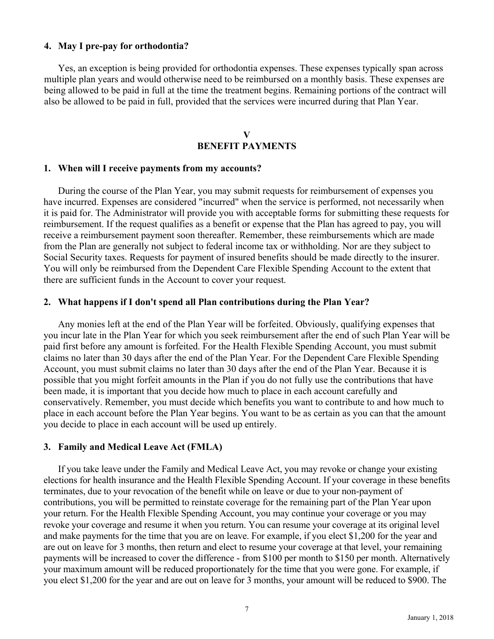#### **4. May I pre-pay for orthodontia?**

Yes, an exception is being provided for orthodontia expenses. These expenses typically span across multiple plan years and would otherwise need to be reimbursed on a monthly basis. These expenses are being allowed to be paid in full at the time the treatment begins. Remaining portions of the contract will also be allowed to be paid in full, provided that the services were incurred during that Plan Year.

## **V BENEFIT PAYMENTS**

#### **1. When will I receive payments from my accounts?**

During the course of the Plan Year, you may submit requests for reimbursement of expenses you have incurred. Expenses are considered "incurred" when the service is performed, not necessarily when it is paid for. The Administrator will provide you with acceptable forms for submitting these requests for reimbursement. If the request qualifies as a benefit or expense that the Plan has agreed to pay, you will receive a reimbursement payment soon thereafter. Remember, these reimbursements which are made from the Plan are generally not subject to federal income tax or withholding. Nor are they subject to Social Security taxes. Requests for payment of insured benefits should be made directly to the insurer. You will only be reimbursed from the Dependent Care Flexible Spending Account to the extent that there are sufficient funds in the Account to cover your request.

#### **2. What happens if I don't spend all Plan contributions during the Plan Year?**

Any monies left at the end of the Plan Year will be forfeited. Obviously, qualifying expenses that you incur late in the Plan Year for which you seek reimbursement after the end of such Plan Year will be paid first before any amount is forfeited. For the Health Flexible Spending Account, you must submit claims no later than 30 days after the end of the Plan Year. For the Dependent Care Flexible Spending Account, you must submit claims no later than 30 days after the end of the Plan Year. Because it is possible that you might forfeit amounts in the Plan if you do not fully use the contributions that have been made, it is important that you decide how much to place in each account carefully and conservatively. Remember, you must decide which benefits you want to contribute to and how much to place in each account before the Plan Year begins. You want to be as certain as you can that the amount you decide to place in each account will be used up entirely.

#### **3. Family and Medical Leave Act (FMLA)**

If you take leave under the Family and Medical Leave Act, you may revoke or change your existing elections for health insurance and the Health Flexible Spending Account. If your coverage in these benefits terminates, due to your revocation of the benefit while on leave or due to your non-payment of contributions, you will be permitted to reinstate coverage for the remaining part of the Plan Year upon your return. For the Health Flexible Spending Account, you may continue your coverage or you may revoke your coverage and resume it when you return. You can resume your coverage at its original level and make payments for the time that you are on leave. For example, if you elect \$1,200 for the year and are out on leave for 3 months, then return and elect to resume your coverage at that level, your remaining payments will be increased to cover the difference - from \$100 per month to \$150 per month. Alternatively your maximum amount will be reduced proportionately for the time that you were gone. For example, if you elect \$1,200 for the year and are out on leave for 3 months, your amount will be reduced to \$900. The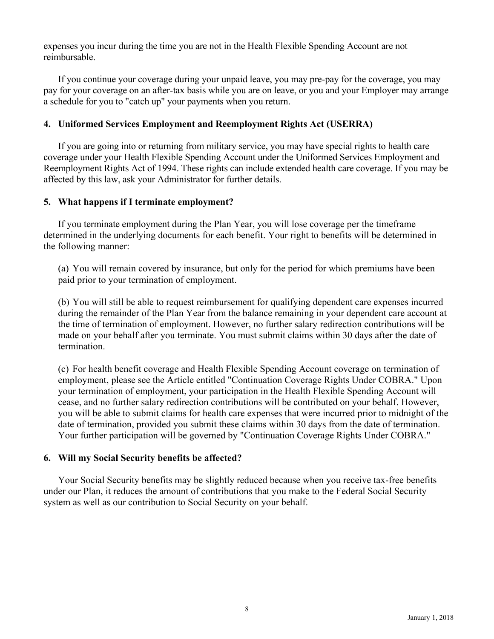expenses you incur during the time you are not in the Health Flexible Spending Account are not reimbursable.

If you continue your coverage during your unpaid leave, you may pre-pay for the coverage, you may pay for your coverage on an after-tax basis while you are on leave, or you and your Employer may arrange a schedule for you to "catch up" your payments when you return.

# **4. Uniformed Services Employment and Reemployment Rights Act (USERRA)**

If you are going into or returning from military service, you may have special rights to health care coverage under your Health Flexible Spending Account under the Uniformed Services Employment and Reemployment Rights Act of 1994. These rights can include extended health care coverage. If you may be affected by this law, ask your Administrator for further details.

## **5. What happens if I terminate employment?**

If you terminate employment during the Plan Year, you will lose coverage per the timeframe determined in the underlying documents for each benefit. Your right to benefits will be determined in the following manner:

(a) You will remain covered by insurance, but only for the period for which premiums have been paid prior to your termination of employment.

(b) You will still be able to request reimbursement for qualifying dependent care expenses incurred during the remainder of the Plan Year from the balance remaining in your dependent care account at the time of termination of employment. However, no further salary redirection contributions will be made on your behalf after you terminate. You must submit claims within 30 days after the date of termination.

(c) For health benefit coverage and Health Flexible Spending Account coverage on termination of employment, please see the Article entitled "Continuation Coverage Rights Under COBRA." Upon your termination of employment, your participation in the Health Flexible Spending Account will cease, and no further salary redirection contributions will be contributed on your behalf. However, you will be able to submit claims for health care expenses that were incurred prior to midnight of the date of termination, provided you submit these claims within 30 days from the date of termination. Your further participation will be governed by "Continuation Coverage Rights Under COBRA."

## **6. Will my Social Security benefits be affected?**

Your Social Security benefits may be slightly reduced because when you receive tax-free benefits under our Plan, it reduces the amount of contributions that you make to the Federal Social Security system as well as our contribution to Social Security on your behalf.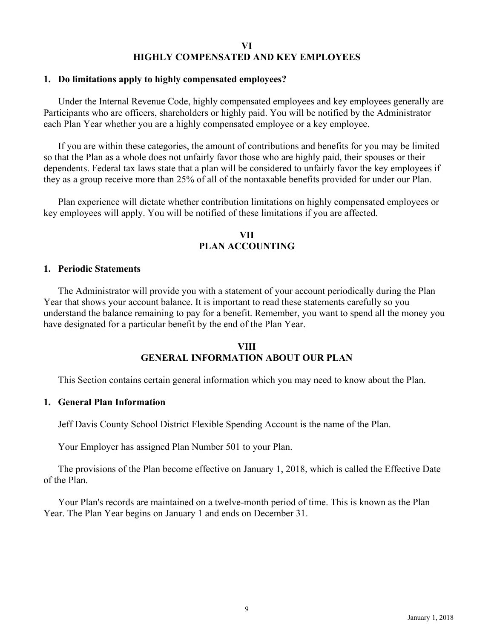#### **VI HIGHLY COMPENSATED AND KEY EMPLOYEES**

#### **1. Do limitations apply to highly compensated employees?**

Under the Internal Revenue Code, highly compensated employees and key employees generally are Participants who are officers, shareholders or highly paid. You will be notified by the Administrator each Plan Year whether you are a highly compensated employee or a key employee.

If you are within these categories, the amount of contributions and benefits for you may be limited so that the Plan as a whole does not unfairly favor those who are highly paid, their spouses or their dependents. Federal tax laws state that a plan will be considered to unfairly favor the key employees if they as a group receive more than 25% of all of the nontaxable benefits provided for under our Plan.

Plan experience will dictate whether contribution limitations on highly compensated employees or key employees will apply. You will be notified of these limitations if you are affected.

## **VII PLAN ACCOUNTING**

#### **1. Periodic Statements**

The Administrator will provide you with a statement of your account periodically during the Plan Year that shows your account balance. It is important to read these statements carefully so you understand the balance remaining to pay for a benefit. Remember, you want to spend all the money you have designated for a particular benefit by the end of the Plan Year.

## **VIII GENERAL INFORMATION ABOUT OUR PLAN**

This Section contains certain general information which you may need to know about the Plan.

#### **1. General Plan Information**

Jeff Davis County School District Flexible Spending Account is the name of the Plan.

Your Employer has assigned Plan Number 501 to your Plan.

The provisions of the Plan become effective on January 1, 2018, which is called the Effective Date of the Plan.

Your Plan's records are maintained on a twelve-month period of time. This is known as the Plan Year. The Plan Year begins on January 1 and ends on December 31.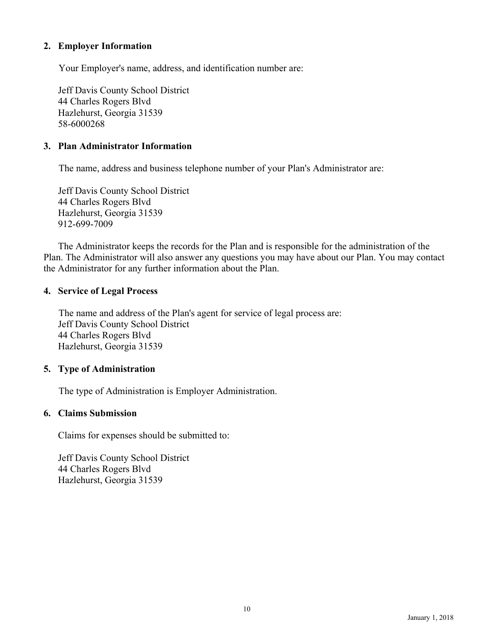## **2. Employer Information**

Your Employer's name, address, and identification number are:

Jeff Davis County School District 44 Charles Rogers Blvd Hazlehurst, Georgia 31539 58-6000268

## **3. Plan Administrator Information**

The name, address and business telephone number of your Plan's Administrator are:

Jeff Davis County School District 44 Charles Rogers Blvd Hazlehurst, Georgia 31539 912-699-7009

The Administrator keeps the records for the Plan and is responsible for the administration of the Plan. The Administrator will also answer any questions you may have about our Plan. You may contact the Administrator for any further information about the Plan.

## **4. Service of Legal Process**

The name and address of the Plan's agent for service of legal process are: Jeff Davis County School District 44 Charles Rogers Blvd Hazlehurst, Georgia 31539

# **5. Type of Administration**

The type of Administration is Employer Administration.

## **6. Claims Submission**

Claims for expenses should be submitted to:

Jeff Davis County School District 44 Charles Rogers Blvd Hazlehurst, Georgia 31539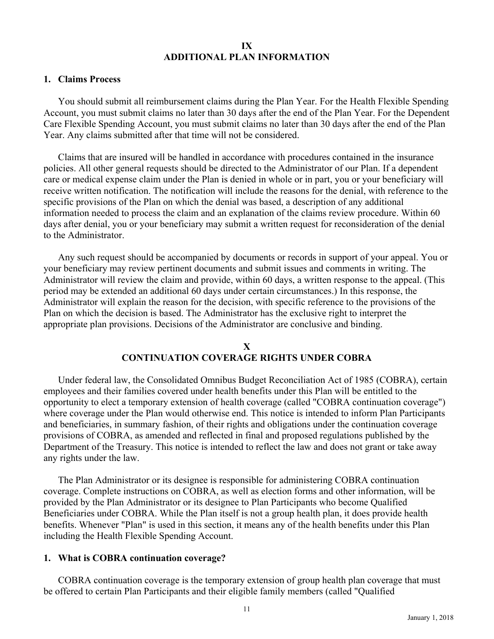#### **IX ADDITIONAL PLAN INFORMATION**

#### **1. Claims Process**

You should submit all reimbursement claims during the Plan Year. For the Health Flexible Spending Account, you must submit claims no later than 30 days after the end of the Plan Year. For the Dependent Care Flexible Spending Account, you must submit claims no later than 30 days after the end of the Plan Year. Any claims submitted after that time will not be considered.

Claims that are insured will be handled in accordance with procedures contained in the insurance policies. All other general requests should be directed to the Administrator of our Plan. If a dependent care or medical expense claim under the Plan is denied in whole or in part, you or your beneficiary will receive written notification. The notification will include the reasons for the denial, with reference to the specific provisions of the Plan on which the denial was based, a description of any additional information needed to process the claim and an explanation of the claims review procedure. Within 60 days after denial, you or your beneficiary may submit a written request for reconsideration of the denial to the Administrator.

Any such request should be accompanied by documents or records in support of your appeal. You or your beneficiary may review pertinent documents and submit issues and comments in writing. The Administrator will review the claim and provide, within 60 days, a written response to the appeal. (This period may be extended an additional 60 days under certain circumstances.) In this response, the Administrator will explain the reason for the decision, with specific reference to the provisions of the Plan on which the decision is based. The Administrator has the exclusive right to interpret the appropriate plan provisions. Decisions of the Administrator are conclusive and binding.

## **X CONTINUATION COVERAGE RIGHTS UNDER COBRA**

Under federal law, the Consolidated Omnibus Budget Reconciliation Act of 1985 (COBRA), certain employees and their families covered under health benefits under this Plan will be entitled to the opportunity to elect a temporary extension of health coverage (called "COBRA continuation coverage") where coverage under the Plan would otherwise end. This notice is intended to inform Plan Participants and beneficiaries, in summary fashion, of their rights and obligations under the continuation coverage provisions of COBRA, as amended and reflected in final and proposed regulations published by the Department of the Treasury. This notice is intended to reflect the law and does not grant or take away any rights under the law.

The Plan Administrator or its designee is responsible for administering COBRA continuation coverage. Complete instructions on COBRA, as well as election forms and other information, will be provided by the Plan Administrator or its designee to Plan Participants who become Qualified Beneficiaries under COBRA. While the Plan itself is not a group health plan, it does provide health benefits. Whenever "Plan" is used in this section, it means any of the health benefits under this Plan including the Health Flexible Spending Account.

#### **1. What is COBRA continuation coverage?**

COBRA continuation coverage is the temporary extension of group health plan coverage that must be offered to certain Plan Participants and their eligible family members (called "Qualified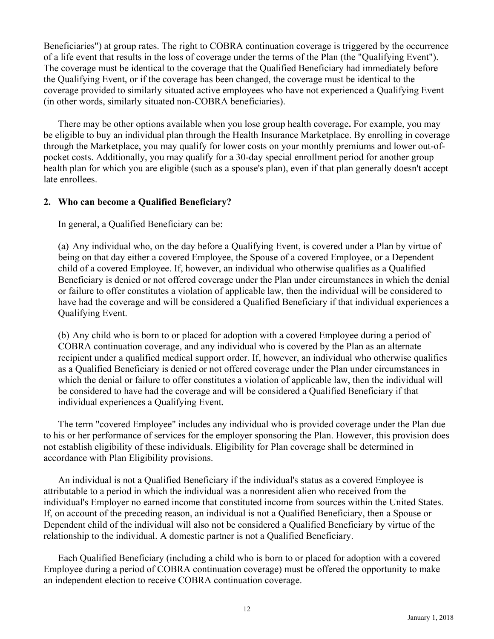Beneficiaries") at group rates. The right to COBRA continuation coverage is triggered by the occurrence of a life event that results in the loss of coverage under the terms of the Plan (the "Qualifying Event"). The coverage must be identical to the coverage that the Qualified Beneficiary had immediately before the Qualifying Event, or if the coverage has been changed, the coverage must be identical to the coverage provided to similarly situated active employees who have not experienced a Qualifying Event (in other words, similarly situated non-COBRA beneficiaries).

There may be other options available when you lose group health coverage**.** For example, you may be eligible to buy an individual plan through the Health Insurance Marketplace. By enrolling in coverage through the Marketplace, you may qualify for lower costs on your monthly premiums and lower out-ofpocket costs. Additionally, you may qualify for a 30-day special enrollment period for another group health plan for which you are eligible (such as a spouse's plan), even if that plan generally doesn't accept late enrollees.

# **2. Who can become a Qualified Beneficiary?**

In general, a Qualified Beneficiary can be:

(a) Any individual who, on the day before a Qualifying Event, is covered under a Plan by virtue of being on that day either a covered Employee, the Spouse of a covered Employee, or a Dependent child of a covered Employee. If, however, an individual who otherwise qualifies as a Qualified Beneficiary is denied or not offered coverage under the Plan under circumstances in which the denial or failure to offer constitutes a violation of applicable law, then the individual will be considered to have had the coverage and will be considered a Qualified Beneficiary if that individual experiences a Qualifying Event.

(b) Any child who is born to or placed for adoption with a covered Employee during a period of COBRA continuation coverage, and any individual who is covered by the Plan as an alternate recipient under a qualified medical support order. If, however, an individual who otherwise qualifies as a Qualified Beneficiary is denied or not offered coverage under the Plan under circumstances in which the denial or failure to offer constitutes a violation of applicable law, then the individual will be considered to have had the coverage and will be considered a Qualified Beneficiary if that individual experiences a Qualifying Event.

The term "covered Employee" includes any individual who is provided coverage under the Plan due to his or her performance of services for the employer sponsoring the Plan. However, this provision does not establish eligibility of these individuals. Eligibility for Plan coverage shall be determined in accordance with Plan Eligibility provisions.

An individual is not a Qualified Beneficiary if the individual's status as a covered Employee is attributable to a period in which the individual was a nonresident alien who received from the individual's Employer no earned income that constituted income from sources within the United States. If, on account of the preceding reason, an individual is not a Qualified Beneficiary, then a Spouse or Dependent child of the individual will also not be considered a Qualified Beneficiary by virtue of the relationship to the individual. A domestic partner is not a Qualified Beneficiary.

Each Qualified Beneficiary (including a child who is born to or placed for adoption with a covered Employee during a period of COBRA continuation coverage) must be offered the opportunity to make an independent election to receive COBRA continuation coverage.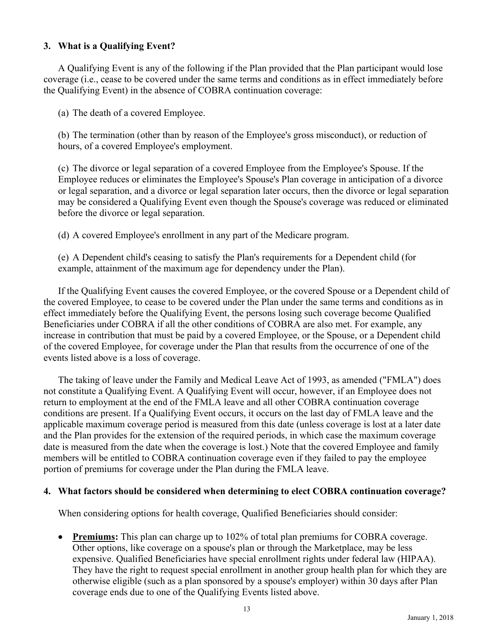# **3. What is a Qualifying Event?**

A Qualifying Event is any of the following if the Plan provided that the Plan participant would lose coverage (i.e., cease to be covered under the same terms and conditions as in effect immediately before the Qualifying Event) in the absence of COBRA continuation coverage:

(a) The death of a covered Employee.

(b) The termination (other than by reason of the Employee's gross misconduct), or reduction of hours, of a covered Employee's employment.

(c) The divorce or legal separation of a covered Employee from the Employee's Spouse. If the Employee reduces or eliminates the Employee's Spouse's Plan coverage in anticipation of a divorce or legal separation, and a divorce or legal separation later occurs, then the divorce or legal separation may be considered a Qualifying Event even though the Spouse's coverage was reduced or eliminated before the divorce or legal separation.

(d) A covered Employee's enrollment in any part of the Medicare program.

(e) A Dependent child's ceasing to satisfy the Plan's requirements for a Dependent child (for example, attainment of the maximum age for dependency under the Plan).

If the Qualifying Event causes the covered Employee, or the covered Spouse or a Dependent child of the covered Employee, to cease to be covered under the Plan under the same terms and conditions as in effect immediately before the Qualifying Event, the persons losing such coverage become Qualified Beneficiaries under COBRA if all the other conditions of COBRA are also met. For example, any increase in contribution that must be paid by a covered Employee, or the Spouse, or a Dependent child of the covered Employee, for coverage under the Plan that results from the occurrence of one of the events listed above is a loss of coverage.

The taking of leave under the Family and Medical Leave Act of 1993, as amended ("FMLA") does not constitute a Qualifying Event. A Qualifying Event will occur, however, if an Employee does not return to employment at the end of the FMLA leave and all other COBRA continuation coverage conditions are present. If a Qualifying Event occurs, it occurs on the last day of FMLA leave and the applicable maximum coverage period is measured from this date (unless coverage is lost at a later date and the Plan provides for the extension of the required periods, in which case the maximum coverage date is measured from the date when the coverage is lost.) Note that the covered Employee and family members will be entitled to COBRA continuation coverage even if they failed to pay the employee portion of premiums for coverage under the Plan during the FMLA leave.

## **4. What factors should be considered when determining to elect COBRA continuation coverage?**

When considering options for health coverage, Qualified Beneficiaries should consider:

 **Premiums:** This plan can charge up to 102% of total plan premiums for COBRA coverage. Other options, like coverage on a spouse's plan or through the Marketplace, may be less expensive. Qualified Beneficiaries have special enrollment rights under federal law (HIPAA). They have the right to request special enrollment in another group health plan for which they are otherwise eligible (such as a plan sponsored by a spouse's employer) within 30 days after Plan coverage ends due to one of the Qualifying Events listed above.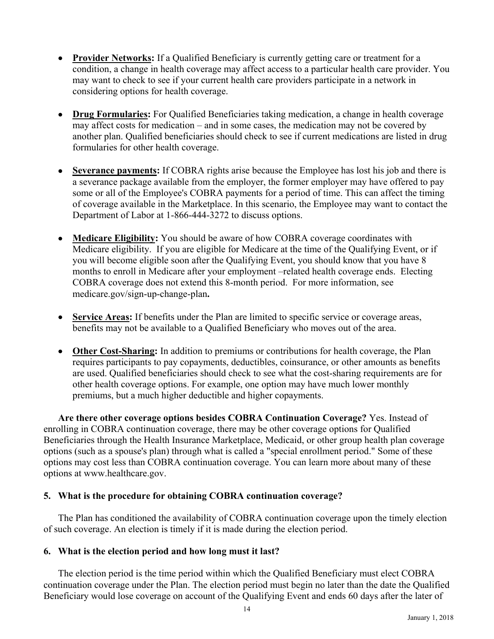- **Provider Networks:** If a Qualified Beneficiary is currently getting care or treatment for a condition, a change in health coverage may affect access to a particular health care provider. You may want to check to see if your current health care providers participate in a network in considering options for health coverage.
- **Drug Formularies:** For Qualified Beneficiaries taking medication, a change in health coverage may affect costs for medication – and in some cases, the medication may not be covered by another plan. Qualified beneficiaries should check to see if current medications are listed in drug formularies for other health coverage.
- **Severance payments:** If COBRA rights arise because the Employee has lost his job and there is a severance package available from the employer, the former employer may have offered to pay some or all of the Employee's COBRA payments for a period of time. This can affect the timing of coverage available in the Marketplace. In this scenario, the Employee may want to contact the Department of Labor at 1-866-444-3272 to discuss options.
- **Medicare Eligibility:** You should be aware of how COBRA coverage coordinates with Medicare eligibility. If you are eligible for Medicare at the time of the Qualifying Event, or if you will become eligible soon after the Qualifying Event, you should know that you have 8 months to enroll in Medicare after your employment –related health coverage ends. Electing COBRA coverage does not extend this 8-month period. For more information, see medicare.gov/sign-up-change-plan**.**
- **Service Areas:** If benefits under the Plan are limited to specific service or coverage areas, benefits may not be available to a Qualified Beneficiary who moves out of the area.
- **Other Cost-Sharing:** In addition to premiums or contributions for health coverage, the Plan requires participants to pay copayments, deductibles, coinsurance, or other amounts as benefits are used. Qualified beneficiaries should check to see what the cost-sharing requirements are for other health coverage options. For example, one option may have much lower monthly premiums, but a much higher deductible and higher copayments.

**Are there other coverage options besides COBRA Continuation Coverage?** Yes. Instead of enrolling in COBRA continuation coverage, there may be other coverage options for Qualified Beneficiaries through the Health Insurance Marketplace, Medicaid, or other group health plan coverage options (such as a spouse's plan) through what is called a "special enrollment period." Some of these options may cost less than COBRA continuation coverage. You can learn more about many of these options at www.healthcare.gov.

# **5. What is the procedure for obtaining COBRA continuation coverage?**

The Plan has conditioned the availability of COBRA continuation coverage upon the timely election of such coverage. An election is timely if it is made during the election period.

# **6. What is the election period and how long must it last?**

The election period is the time period within which the Qualified Beneficiary must elect COBRA continuation coverage under the Plan. The election period must begin no later than the date the Qualified Beneficiary would lose coverage on account of the Qualifying Event and ends 60 days after the later of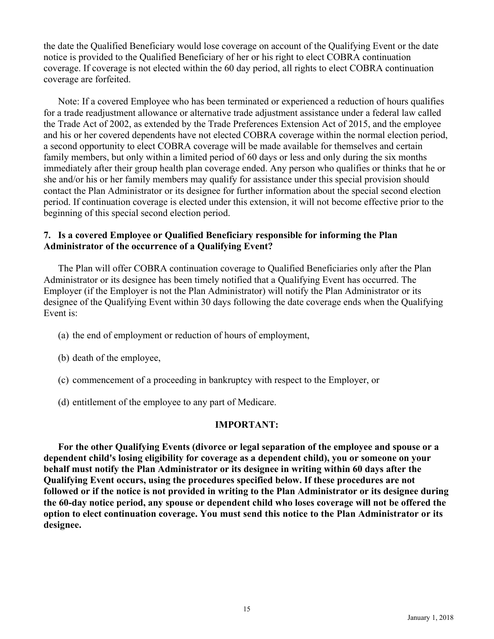the date the Qualified Beneficiary would lose coverage on account of the Qualifying Event or the date notice is provided to the Qualified Beneficiary of her or his right to elect COBRA continuation coverage. If coverage is not elected within the 60 day period, all rights to elect COBRA continuation coverage are forfeited.

Note: If a covered Employee who has been terminated or experienced a reduction of hours qualifies for a trade readjustment allowance or alternative trade adjustment assistance under a federal law called the Trade Act of 2002, as extended by the Trade Preferences Extension Act of 2015, and the employee and his or her covered dependents have not elected COBRA coverage within the normal election period, a second opportunity to elect COBRA coverage will be made available for themselves and certain family members, but only within a limited period of 60 days or less and only during the six months immediately after their group health plan coverage ended. Any person who qualifies or thinks that he or she and/or his or her family members may qualify for assistance under this special provision should contact the Plan Administrator or its designee for further information about the special second election period. If continuation coverage is elected under this extension, it will not become effective prior to the beginning of this special second election period.

# **7. Is a covered Employee or Qualified Beneficiary responsible for informing the Plan Administrator of the occurrence of a Qualifying Event?**

The Plan will offer COBRA continuation coverage to Qualified Beneficiaries only after the Plan Administrator or its designee has been timely notified that a Qualifying Event has occurred. The Employer (if the Employer is not the Plan Administrator) will notify the Plan Administrator or its designee of the Qualifying Event within 30 days following the date coverage ends when the Qualifying Event is:

- (a) the end of employment or reduction of hours of employment,
- (b) death of the employee,
- (c) commencement of a proceeding in bankruptcy with respect to the Employer, or
- (d) entitlement of the employee to any part of Medicare.

## **IMPORTANT:**

**For the other Qualifying Events (divorce or legal separation of the employee and spouse or a dependent child's losing eligibility for coverage as a dependent child), you or someone on your behalf must notify the Plan Administrator or its designee in writing within 60 days after the Qualifying Event occurs, using the procedures specified below. If these procedures are not followed or if the notice is not provided in writing to the Plan Administrator or its designee during the 60-day notice period, any spouse or dependent child who loses coverage will not be offered the option to elect continuation coverage. You must send this notice to the Plan Administrator or its designee.**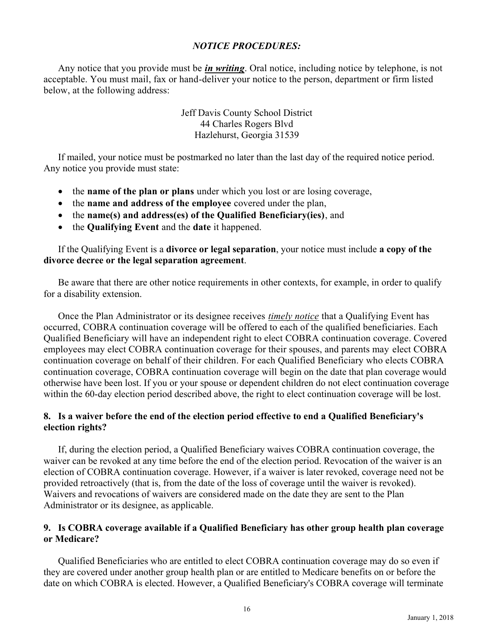# *NOTICE PROCEDURES:*

Any notice that you provide must be *in writing*. Oral notice, including notice by telephone, is not acceptable. You must mail, fax or hand-deliver your notice to the person, department or firm listed below, at the following address:

> Jeff Davis County School District 44 Charles Rogers Blvd Hazlehurst, Georgia 31539

If mailed, your notice must be postmarked no later than the last day of the required notice period. Any notice you provide must state:

- the **name of the plan or plans** under which you lost or are losing coverage,
- the **name and address of the employee** covered under the plan,
- the **name(s) and address(es) of the Qualified Beneficiary(ies)**, and
- the **Qualifying Event** and the **date** it happened.

If the Qualifying Event is a **divorce or legal separation**, your notice must include **a copy of the divorce decree or the legal separation agreement**.

Be aware that there are other notice requirements in other contexts, for example, in order to qualify for a disability extension.

Once the Plan Administrator or its designee receives *timely notice* that a Qualifying Event has occurred, COBRA continuation coverage will be offered to each of the qualified beneficiaries. Each Qualified Beneficiary will have an independent right to elect COBRA continuation coverage. Covered employees may elect COBRA continuation coverage for their spouses, and parents may elect COBRA continuation coverage on behalf of their children. For each Qualified Beneficiary who elects COBRA continuation coverage, COBRA continuation coverage will begin on the date that plan coverage would otherwise have been lost. If you or your spouse or dependent children do not elect continuation coverage within the 60-day election period described above, the right to elect continuation coverage will be lost.

# **8. Is a waiver before the end of the election period effective to end a Qualified Beneficiary's election rights?**

If, during the election period, a Qualified Beneficiary waives COBRA continuation coverage, the waiver can be revoked at any time before the end of the election period. Revocation of the waiver is an election of COBRA continuation coverage. However, if a waiver is later revoked, coverage need not be provided retroactively (that is, from the date of the loss of coverage until the waiver is revoked). Waivers and revocations of waivers are considered made on the date they are sent to the Plan Administrator or its designee, as applicable.

## **9. Is COBRA coverage available if a Qualified Beneficiary has other group health plan coverage or Medicare?**

Qualified Beneficiaries who are entitled to elect COBRA continuation coverage may do so even if they are covered under another group health plan or are entitled to Medicare benefits on or before the date on which COBRA is elected. However, a Qualified Beneficiary's COBRA coverage will terminate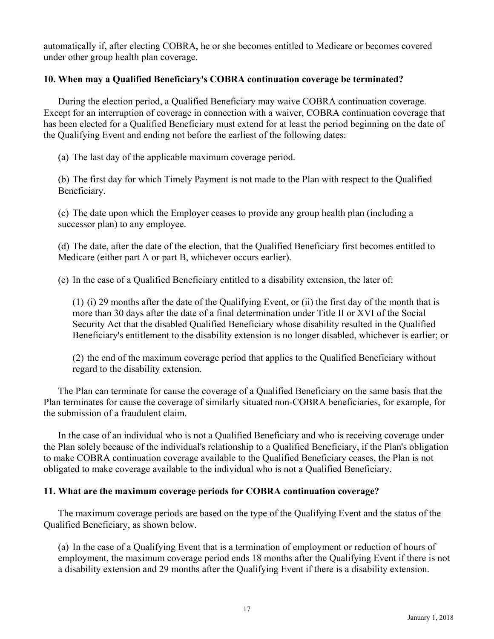automatically if, after electing COBRA, he or she becomes entitled to Medicare or becomes covered under other group health plan coverage.

## **10. When may a Qualified Beneficiary's COBRA continuation coverage be terminated?**

During the election period, a Qualified Beneficiary may waive COBRA continuation coverage. Except for an interruption of coverage in connection with a waiver, COBRA continuation coverage that has been elected for a Qualified Beneficiary must extend for at least the period beginning on the date of the Qualifying Event and ending not before the earliest of the following dates:

(a) The last day of the applicable maximum coverage period.

(b) The first day for which Timely Payment is not made to the Plan with respect to the Qualified Beneficiary.

(c) The date upon which the Employer ceases to provide any group health plan (including a successor plan) to any employee.

(d) The date, after the date of the election, that the Qualified Beneficiary first becomes entitled to Medicare (either part A or part B, whichever occurs earlier).

(e) In the case of a Qualified Beneficiary entitled to a disability extension, the later of:

(1) (i) 29 months after the date of the Qualifying Event, or (ii) the first day of the month that is more than 30 days after the date of a final determination under Title II or XVI of the Social Security Act that the disabled Qualified Beneficiary whose disability resulted in the Qualified Beneficiary's entitlement to the disability extension is no longer disabled, whichever is earlier; or

(2) the end of the maximum coverage period that applies to the Qualified Beneficiary without regard to the disability extension.

The Plan can terminate for cause the coverage of a Qualified Beneficiary on the same basis that the Plan terminates for cause the coverage of similarly situated non-COBRA beneficiaries, for example, for the submission of a fraudulent claim.

In the case of an individual who is not a Qualified Beneficiary and who is receiving coverage under the Plan solely because of the individual's relationship to a Qualified Beneficiary, if the Plan's obligation to make COBRA continuation coverage available to the Qualified Beneficiary ceases, the Plan is not obligated to make coverage available to the individual who is not a Qualified Beneficiary.

# **11. What are the maximum coverage periods for COBRA continuation coverage?**

The maximum coverage periods are based on the type of the Qualifying Event and the status of the Qualified Beneficiary, as shown below.

(a) In the case of a Qualifying Event that is a termination of employment or reduction of hours of employment, the maximum coverage period ends 18 months after the Qualifying Event if there is not a disability extension and 29 months after the Qualifying Event if there is a disability extension.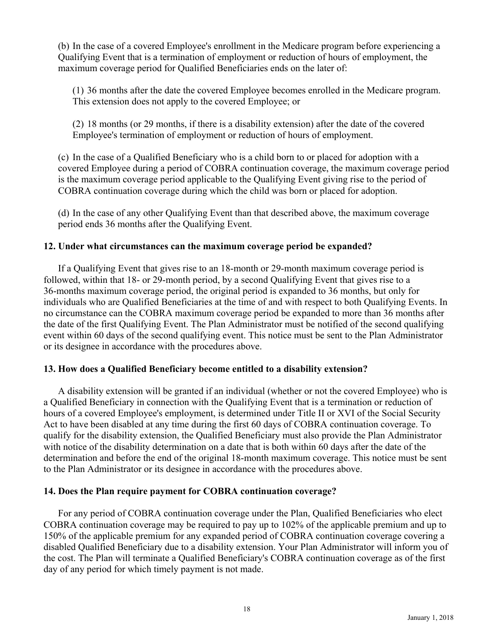(b) In the case of a covered Employee's enrollment in the Medicare program before experiencing a Qualifying Event that is a termination of employment or reduction of hours of employment, the maximum coverage period for Qualified Beneficiaries ends on the later of:

(1) 36 months after the date the covered Employee becomes enrolled in the Medicare program. This extension does not apply to the covered Employee; or

(2) 18 months (or 29 months, if there is a disability extension) after the date of the covered Employee's termination of employment or reduction of hours of employment.

(c) In the case of a Qualified Beneficiary who is a child born to or placed for adoption with a covered Employee during a period of COBRA continuation coverage, the maximum coverage period is the maximum coverage period applicable to the Qualifying Event giving rise to the period of COBRA continuation coverage during which the child was born or placed for adoption.

(d) In the case of any other Qualifying Event than that described above, the maximum coverage period ends 36 months after the Qualifying Event.

# **12. Under what circumstances can the maximum coverage period be expanded?**

If a Qualifying Event that gives rise to an 18-month or 29-month maximum coverage period is followed, within that 18- or 29-month period, by a second Qualifying Event that gives rise to a 36-months maximum coverage period, the original period is expanded to 36 months, but only for individuals who are Qualified Beneficiaries at the time of and with respect to both Qualifying Events. In no circumstance can the COBRA maximum coverage period be expanded to more than 36 months after the date of the first Qualifying Event. The Plan Administrator must be notified of the second qualifying event within 60 days of the second qualifying event. This notice must be sent to the Plan Administrator or its designee in accordance with the procedures above.

# **13. How does a Qualified Beneficiary become entitled to a disability extension?**

A disability extension will be granted if an individual (whether or not the covered Employee) who is a Qualified Beneficiary in connection with the Qualifying Event that is a termination or reduction of hours of a covered Employee's employment, is determined under Title II or XVI of the Social Security Act to have been disabled at any time during the first 60 days of COBRA continuation coverage. To qualify for the disability extension, the Qualified Beneficiary must also provide the Plan Administrator with notice of the disability determination on a date that is both within 60 days after the date of the determination and before the end of the original 18-month maximum coverage. This notice must be sent to the Plan Administrator or its designee in accordance with the procedures above.

# **14. Does the Plan require payment for COBRA continuation coverage?**

For any period of COBRA continuation coverage under the Plan, Qualified Beneficiaries who elect COBRA continuation coverage may be required to pay up to 102% of the applicable premium and up to 150% of the applicable premium for any expanded period of COBRA continuation coverage covering a disabled Qualified Beneficiary due to a disability extension. Your Plan Administrator will inform you of the cost. The Plan will terminate a Qualified Beneficiary's COBRA continuation coverage as of the first day of any period for which timely payment is not made.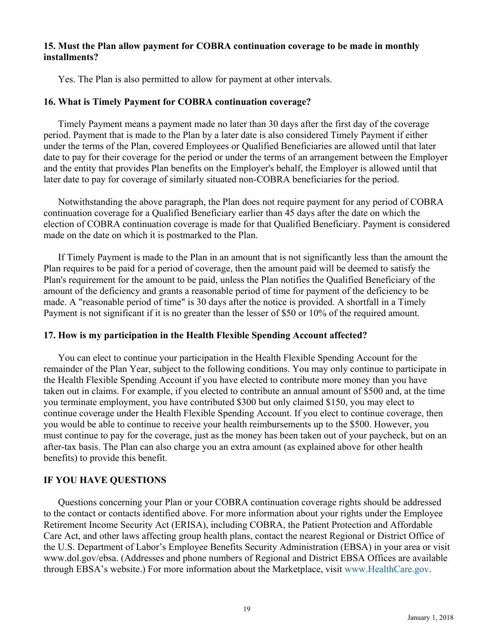## **15. Must the Plan allow payment for COBRA continuation coverage to be made in monthly installments?**

Yes. The Plan is also permitted to allow for payment at other intervals.

# **16. What is Timely Payment for COBRA continuation coverage?**

Timely Payment means a payment made no later than 30 days after the first day of the coverage period. Payment that is made to the Plan by a later date is also considered Timely Payment if either under the terms of the Plan, covered Employees or Qualified Beneficiaries are allowed until that later date to pay for their coverage for the period or under the terms of an arrangement between the Employer and the entity that provides Plan benefits on the Employer's behalf, the Employer is allowed until that later date to pay for coverage of similarly situated non-COBRA beneficiaries for the period.

Notwithstanding the above paragraph, the Plan does not require payment for any period of COBRA continuation coverage for a Qualified Beneficiary earlier than 45 days after the date on which the election of COBRA continuation coverage is made for that Qualified Beneficiary. Payment is considered made on the date on which it is postmarked to the Plan.

If Timely Payment is made to the Plan in an amount that is not significantly less than the amount the Plan requires to be paid for a period of coverage, then the amount paid will be deemed to satisfy the Plan's requirement for the amount to be paid, unless the Plan notifies the Qualified Beneficiary of the amount of the deficiency and grants a reasonable period of time for payment of the deficiency to be made. A "reasonable period of time" is 30 days after the notice is provided. A shortfall in a Timely Payment is not significant if it is no greater than the lesser of \$50 or 10% of the required amount.

# **17. How is my participation in the Health Flexible Spending Account affected?**

You can elect to continue your participation in the Health Flexible Spending Account for the remainder of the Plan Year, subject to the following conditions. You may only continue to participate in the Health Flexible Spending Account if you have elected to contribute more money than you have taken out in claims. For example, if you elected to contribute an annual amount of \$500 and, at the time you terminate employment, you have contributed \$300 but only claimed \$150, you may elect to continue coverage under the Health Flexible Spending Account. If you elect to continue coverage, then you would be able to continue to receive your health reimbursements up to the \$500. However, you must continue to pay for the coverage, just as the money has been taken out of your paycheck, but on an after-tax basis. The Plan can also charge you an extra amount (as explained above for other health benefits) to provide this benefit.

# **IF YOU HAVE QUESTIONS**

Questions concerning your Plan or your COBRA continuation coverage rights should be addressed to the contact or contacts identified above. For more information about your rights under the Employee Retirement Income Security Act (ERISA), including COBRA, the Patient Protection and Affordable Care Act, and other laws affecting group health plans, contact the nearest Regional or District Office of the U.S. Department of Labor's Employee Benefits Security Administration (EBSA) in your area or visit www.dol.gov/ebsa. (Addresses and phone numbers of Regional and District EBSA Offices are available through EBSA's website.) For more information about the Marketplace, visit www.HealthCare.gov.